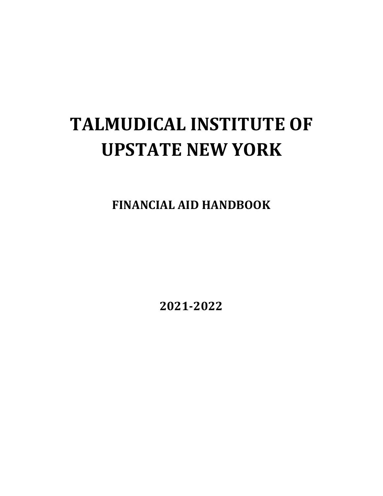# **TALMUDICAL INSTITUTE OF UPSTATE NEW YORK**

**FINANCIAL AID HANDBOOK**

**2021-2022**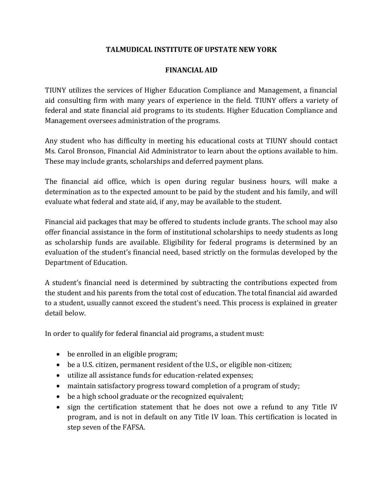# **TALMUDICAL INSTITUTE OF UPSTATE NEW YORK**

#### **FINANCIAL AID**

TIUNY utilizes the services of Higher Education Compliance and Management, a financial aid consulting firm with many years of experience in the field. TIUNY offers a variety of federal and state financial aid programs to its students. Higher Education Compliance and Management oversees administration of the programs.

Any student who has difficulty in meeting his educational costs at TIUNY should contact Ms. Carol Bronson, Financial Aid Administrator to learn about the options available to him. These may include grants, scholarships and deferred payment plans.

The financial aid office, which is open during regular business hours, will make a determination as to the expected amount to be paid by the student and his family, and will evaluate what federal and state aid, if any, may be available to the student.

Financial aid packages that may be offered to students include grants. The school may also offer financial assistance in the form of institutional scholarships to needy students as long as scholarship funds are available. Eligibility for federal programs is determined by an evaluation of the student's financial need, based strictly on the formulas developed by the Department of Education.

A student's financial need is determined by subtracting the contributions expected from the student and his parents from the total cost of education. The total financial aid awarded to a student, usually cannot exceed the student's need. This process is explained in greater detail below.

In order to qualify for federal financial aid programs, a student must:

- be enrolled in an eligible program;
- be a U.S. citizen, permanent resident of the U.S., or eligible non-citizen;
- utilize all assistance funds for education-related expenses;
- maintain satisfactory progress toward completion of a program of study;
- be a high school graduate or the recognized equivalent;
- sign the certification statement that he does not owe a refund to any Title IV program, and is not in default on any Title IV loan. This certification is located in step seven of the FAFSA.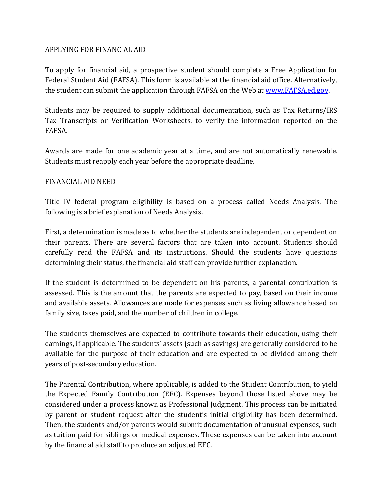#### APPLYING FOR FINANCIAL AID

To apply for financial aid, a prospective student should complete a Free Application for Federal Student Aid (FAFSA). This form is available at the financial aid office. Alternatively, the student can submit the application through FAFSA on the Web at [www.FAFSA.ed.gov.](www.FAFSA.ed.gov)

Students may be required to supply additional documentation, such as Tax Returns/IRS Tax Transcripts or Verification Worksheets, to verify the information reported on the FAFSA.

Awards are made for one academic year at a time, and are not automatically renewable. Students must reapply each year before the appropriate deadline.

### FINANCIAL AID NEED

Title IV federal program eligibility is based on a process called Needs Analysis. The following is a brief explanation of Needs Analysis.

First, a determination is made as to whether the students are independent or dependent on their parents. There are several factors that are taken into account. Students should carefully read the FAFSA and its instructions. Should the students have questions determining their status, the financial aid staff can provide further explanation.

If the student is determined to be dependent on his parents, a parental contribution is assessed. This is the amount that the parents are expected to pay, based on their income and available assets. Allowances are made for expenses such as living allowance based on family size, taxes paid, and the number of children in college.

The students themselves are expected to contribute towards their education, using their earnings, if applicable. The students' assets (such as savings) are generally considered to be available for the purpose of their education and are expected to be divided among their years of post-secondary education.

The Parental Contribution, where applicable, is added to the Student Contribution, to yield the Expected Family Contribution (EFC). Expenses beyond those listed above may be considered under a process known as Professional Judgment. This process can be initiated by parent or student request after the student's initial eligibility has been determined. Then, the students and/or parents would submit documentation of unusual expenses, such as tuition paid for siblings or medical expenses. These expenses can be taken into account by the financial aid staff to produce an adjusted EFC.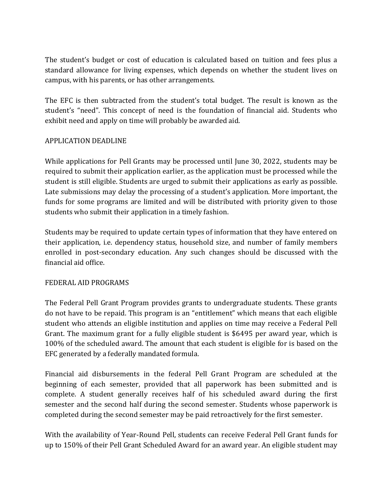The student's budget or cost of education is calculated based on tuition and fees plus a standard allowance for living expenses, which depends on whether the student lives on campus, with his parents, or has other arrangements.

The EFC is then subtracted from the student's total budget. The result is known as the student's "need". This concept of need is the foundation of financial aid. Students who exhibit need and apply on time will probably be awarded aid.

### APPLICATION DEADLINE

While applications for Pell Grants may be processed until June 30, 2022, students may be required to submit their application earlier, as the application must be processed while the student is still eligible. Students are urged to submit their applications as early as possible. Late submissions may delay the processing of a student's application. More important, the funds for some programs are limited and will be distributed with priority given to those students who submit their application in a timely fashion.

Students may be required to update certain types of information that they have entered on their application, i.e. dependency status, household size, and number of family members enrolled in post-secondary education. Any such changes should be discussed with the financial aid office.

#### FEDERAL AID PROGRAMS

The Federal Pell Grant Program provides grants to undergraduate students. These grants do not have to be repaid. This program is an "entitlement" which means that each eligible student who attends an eligible institution and applies on time may receive a Federal Pell Grant. The maximum grant for a fully eligible student is \$6495 per award year, which is 100% of the scheduled award. The amount that each student is eligible for is based on the EFC generated by a federally mandated formula.

Financial aid disbursements in the federal Pell Grant Program are scheduled at the beginning of each semester, provided that all paperwork has been submitted and is complete. A student generally receives half of his scheduled award during the first semester and the second half during the second semester. Students whose paperwork is completed during the second semester may be paid retroactively for the first semester.

With the availability of Year-Round Pell, students can receive Federal Pell Grant funds for up to 150% of their Pell Grant Scheduled Award for an award year. An eligible student may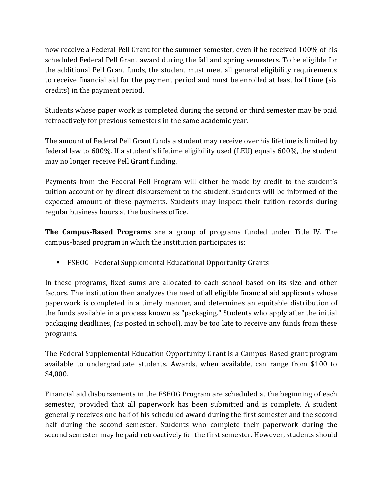now receive a Federal Pell Grant for the summer semester, even if he received 100% of his scheduled Federal Pell Grant award during the fall and spring semesters. To be eligible for the additional Pell Grant funds, the student must meet all general eligibility requirements to receive financial aid for the payment period and must be enrolled at least half time (six credits) in the payment period.

Students whose paper work is completed during the second or third semester may be paid retroactively for previous semesters in the same academic year.

The amount of Federal Pell Grant funds a student may receive over his lifetime is limited by federal law to 600%. If a student's lifetime eligibility used (LEU) equals 600%, the student may no longer receive Pell Grant funding.

Payments from the Federal Pell Program will either be made by credit to the student's tuition account or by direct disbursement to the student. Students will be informed of the expected amount of these payments. Students may inspect their tuition records during regular business hours at the business office.

**The Campus-Based Programs** are a group of programs funded under Title IV. The campus-based program in which the institution participates is:

FSEOG - Federal Supplemental Educational Opportunity Grants

In these programs, fixed sums are allocated to each school based on its size and other factors. The institution then analyzes the need of all eligible financial aid applicants whose paperwork is completed in a timely manner, and determines an equitable distribution of the funds available in a process known as "packaging." Students who apply after the initial packaging deadlines, (as posted in school), may be too late to receive any funds from these programs.

The Federal Supplemental Education Opportunity Grant is a Campus-Based grant program available to undergraduate students. Awards, when available, can range from \$100 to \$4,000.

Financial aid disbursements in the FSEOG Program are scheduled at the beginning of each semester, provided that all paperwork has been submitted and is complete. A student generally receives one half of his scheduled award during the first semester and the second half during the second semester. Students who complete their paperwork during the second semester may be paid retroactively for the first semester. However, students should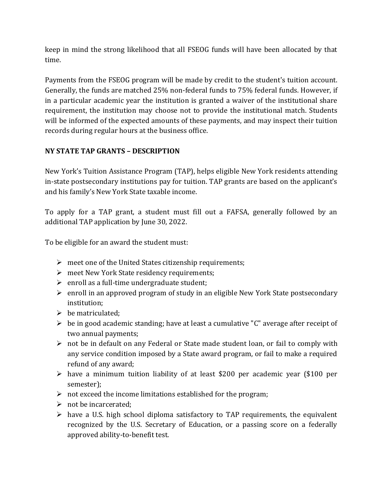keep in mind the strong likelihood that all FSEOG funds will have been allocated by that time.

Payments from the FSEOG program will be made by credit to the student's tuition account. Generally, the funds are matched 25% non-federal funds to 75% federal funds. However, if in a particular academic year the institution is granted a waiver of the institutional share requirement, the institution may choose not to provide the institutional match. Students will be informed of the expected amounts of these payments, and may inspect their tuition records during regular hours at the business office.

# **NY STATE TAP GRANTS – DESCRIPTION**

New York's Tuition Assistance Program (TAP), helps eligible New York residents attending in-state postsecondary institutions pay for tuition. TAP grants are based on the applicant's and his family's New York State taxable income.

To apply for a TAP grant, a student must fill out a FAFSA, generally followed by an additional TAP application by June 30, 2022.

To be eligible for an award the student must:

- $\triangleright$  meet one of the United States citizenship requirements;
- meet New York State residency requirements;
- $\triangleright$  enroll as a full-time undergraduate student;
- $\triangleright$  enroll in an approved program of study in an eligible New York State postsecondary institution;
- $\triangleright$  be matriculated;
- $\triangleright$  be in good academic standing; have at least a cumulative "C" average after receipt of two annual payments;
- $\triangleright$  not be in default on any Federal or State made student loan, or fail to comply with any service condition imposed by a State award program, or fail to make a required refund of any award;
- have a minimum tuition liability of at least \$200 per academic year (\$100 per semester);
- $\triangleright$  not exceed the income limitations established for the program;
- $\triangleright$  not be incarcerated:
- $\triangleright$  have a U.S. high school diploma satisfactory to TAP requirements, the equivalent recognized by the U.S. Secretary of Education, or a passing score on a federally approved ability-to-benefit test.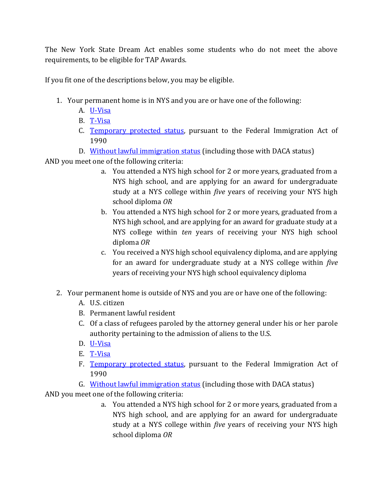The New York State Dream Act enables some students who do not meet the above requirements, to be eligible for TAP Awards.

If you fit one of the descriptions below, you may be eligible.

- 1. Your permanent home is in NYS and you are or have one of the following:
	- A. [U-Visa](https://www.hesc.ny.gov/dream/#U-Visa)
	- B. [T-Visa](https://www.hesc.ny.gov/dream/#T-Visa)
	- C. [Temporary protected status,](https://www.hesc.ny.gov/dream/#TPS) pursuant to the Federal Immigration Act of 1990
	- D. [Without lawful immigration status](https://www.hesc.ny.gov/dream/#WIS) (including those with DACA status)

AND you meet one of the following criteria:

- a. You attended a NYS high school for 2 or more years, graduated from a NYS high school, and are applying for an award for undergraduate study at a NYS college within *five* years of receiving your NYS high school diploma *OR*
- b. You attended a NYS high school for 2 or more years, graduated from a NYS high school, and are applying for an award for graduate study at a NYS college within *ten* years of receiving your NYS high school diploma *OR*
- c. You received a NYS high school equivalency diploma, and are applying for an award for undergraduate study at a NYS college within *five* years of receiving your NYS high school equivalency diploma
- 2. Your permanent home is outside of NYS and you are or have one of the following:
	- A. U.S. citizen
	- B. Permanent lawful resident
	- C. Of a class of refugees paroled by the attorney general under his or her parole authority pertaining to the admission of aliens to the U.S.
	- D. [U-Visa](https://www.hesc.ny.gov/dream/#U-Visa)
	- E. [T-Visa](https://www.hesc.ny.gov/dream/#T-Visa)
	- F. [Temporary protected status,](https://www.hesc.ny.gov/dream/#TPS) pursuant to the Federal Immigration Act of 1990
	- G. [Without lawful immigration status](https://www.hesc.ny.gov/dream/#WIS) (including those with DACA status)

AND you meet one of the following criteria:

a. You attended a NYS high school for 2 or more years, graduated from a NYS high school, and are applying for an award for undergraduate study at a NYS college within *five* years of receiving your NYS high school diploma *OR*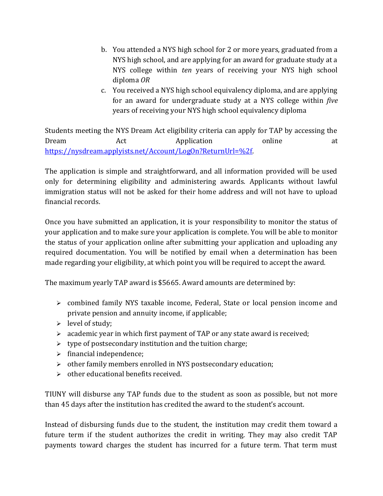- b. You attended a NYS high school for 2 or more years, graduated from a NYS high school, and are applying for an award for graduate study at a NYS college within *ten* years of receiving your NYS high school diploma *OR*
- c. You received a NYS high school equivalency diploma, and are applying for an award for undergraduate study at a NYS college within *five* years of receiving your NYS high school equivalency diploma

Students meeting the NYS Dream Act eligibility criteria can apply for TAP by accessing the Dream Act Application online at [https://nysdream.applyists.net/Account/LogOn?ReturnUrl=%2f.](https://nysdream.applyists.net/Account/LogOn?ReturnUrl=%2f)

The application is simple and straightforward, and all information provided will be used only for determining eligibility and administering awards. Applicants without lawful immigration status will not be asked for their home address and will not have to upload financial records.

Once you have submitted an application, it is your responsibility to monitor the status of your application and to make sure your application is complete. You will be able to monitor the status of your application online after submitting your application and uploading any required documentation. You will be notified by email when a determination has been made regarding your eligibility, at which point you will be required to accept the award.

The maximum yearly TAP award is \$5665. Award amounts are determined by:

- combined family NYS taxable income, Federal, State or local pension income and private pension and annuity income, if applicable;
- $\triangleright$  level of study;
- $\geq$  academic year in which first payment of TAP or any state award is received;
- $\triangleright$  type of postsecondary institution and the tuition charge;
- $\triangleright$  financial independence;
- other family members enrolled in NYS postsecondary education;
- $\triangleright$  other educational benefits received.

TIUNY will disburse any TAP funds due to the student as soon as possible, but not more than 45 days after the institution has credited the award to the student's account.

Instead of disbursing funds due to the student, the institution may credit them toward a future term if the student authorizes the credit in writing. They may also credit TAP payments toward charges the student has incurred for a future term. That term must